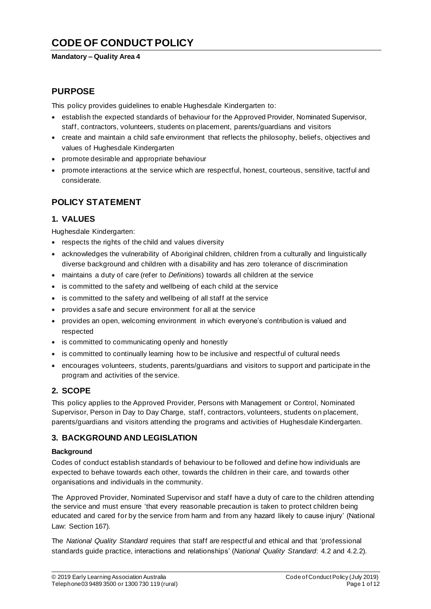# **CODE OF CONDUCT POLICY**

#### **Mandatory – Quality Area 4**

## **PURPOSE**

This policy provides guidelines to enable Hughesdale Kindergarten to:

- establish the expected standards of behaviour for the Approved Provider, Nominated Supervisor, staff, contractors, volunteers, students on placement, parents/guardians and visitors
- create and maintain a child safe environment that reflects the philosophy, beliefs, objectives and values of Hughesdale Kindergarten
- promote desirable and appropriate behaviour
- promote interactions at the service which are respectful, honest, courteous, sensitive, tactful and considerate.

## **POLICY STATEMENT**

### **1. VALUES**

Hughesdale Kindergarten:

- respects the rights of the child and values diversity
- acknowledges the vulnerability of Aboriginal children, children from a culturally and linguistically diverse background and children with a disability and has zero tolerance of discrimination
- maintains a duty of care (refer to *Definitions*) towards all children at the service
- is committed to the safety and wellbeing of each child at the service
- is committed to the safety and wellbeing of all staff at the service
- provides a safe and secure environment for all at the service
- provides an open, welcoming environment in which everyone's contribution is valued and respected
- is committed to communicating openly and honestly
- is committed to continually learning how to be inclusive and respectful of cultural needs
- encourages volunteers, students, parents/guardians and visitors to support and participate in the program and activities of the service.

### **2. SCOPE**

This policy applies to the Approved Provider, Persons with Management or Control, Nominated Supervisor, Person in Day to Day Charge, staff, contractors, volunteers, students on placement, parents/guardians and visitors attending the programs and activities of Hughesdale Kindergarten.

### **3. BACKGROUND AND LEGISLATION**

#### **Background**

Codes of conduct establish standards of behaviour to be followed and define how individuals are expected to behave towards each other, towards the children in their care, and towards other organisations and individuals in the community.

The Approved Provider, Nominated Supervisor and staff have a duty of care to the children attending the service and must ensure 'that every reasonable precaution is taken to protect children being educated and cared for by the service from harm and from any hazard likely to cause injury' (National Law: Section 167).

The *National Quality Standard* requires that staff are respectful and ethical and that 'professional standards guide practice, interactions and relationships' (*National Quality Standard*: 4.2 and 4.2.2).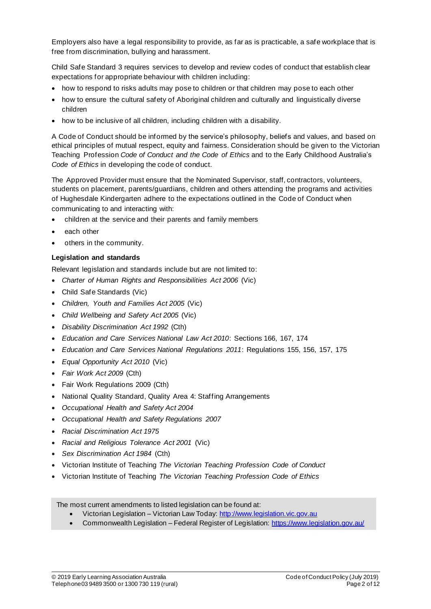Employers also have a legal responsibility to provide, as far as is practicable, a safe workplace that is free from discrimination, bullying and harassment.

Child Safe Standard 3 requires services to develop and review codes of conduct that establish clear expectations for appropriate behaviour with children including:

- how to respond to risks adults may pose to children or that children may pose to each other
- how to ensure the cultural safety of Aboriginal children and culturally and linguistically diverse children
- how to be inclusive of all children, including children with a disability.

A Code of Conduct should be informed by the service's philosophy, beliefs and values, and based on ethical principles of mutual respect, equity and fairness. Consideration should be given to the Victorian Teaching Profession *Code of Conduct and the Code of Ethics* and to the Early Childhood Australia's *Code of Ethics* in developing the code of conduct.

The Approved Provider must ensure that the Nominated Supervisor, staff, contractors, volunteers, students on placement, parents/guardians, children and others attending the programs and activities of Hughesdale Kindergarten adhere to the expectations outlined in the Code of Conduct when communicating to and interacting with:

- children at the service and their parents and family members
- each other
- others in the community.

#### **Legislation and standards**

Relevant legislation and standards include but are not limited to:

- *Charter of Human Rights and Responsibilities Act 2006* (Vic)
- Child Safe Standards (Vic)
- *Children, Youth and Families Act 2005* (Vic)
- *Child Wellbeing and Safety Act 2005* (Vic)
- *Disability Discrimination Act 1992* (Cth)
- *Education and Care Services National Law Act 2010*: Sections 166, 167, 174
- *Education and Care Services National Regulations 2011*: Regulations 155, 156, 157, 175
- *Equal Opportunity Act 2010* (Vic)
- *Fair Work Act 2009* (Cth)
- Fair Work Regulations 2009 (Cth)
- National Quality Standard, Quality Area 4: Staffing Arrangements
- *Occupational Health and Safety Act 2004*
- *Occupational Health and Safety Regulations 2007*
- *Racial Discrimination Act 1975*
- *Racial and Religious Tolerance Act 2001* (Vic)
- *Sex Discrimination Act 1984* (Cth)
- Victorian Institute of Teaching *The Victorian Teaching Profession Code of Conduct*
- Victorian Institute of Teaching *The Victorian Teaching Profession Code of Ethics*

The most current amendments to listed legislation can be found at:

- Victorian Legislation Victorian Law Today: http://www.legislation.vic.gov.au
- Commonwealth Legislation Federal Register of Legislation: https://www.legislation.gov.au/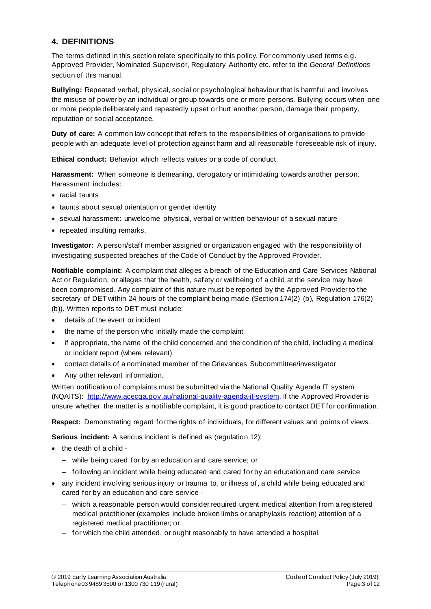### **4. DEFINITIONS**

The terms defined in this section relate specifically to this policy. For commonly used terms e.g. Approved Provider, Nominated Supervisor, Regulatory Authority etc. refer to the *General Definitions* section of this manual.

**Bullying:** Repeated verbal, physical, social or psychological behaviour that is harmful and involves the misuse of power by an individual or group towards one or more persons. Bullying occurs when one or more people deliberately and repeatedly upset or hurt another person, damage their property, reputation or social acceptance.

**Duty of care:** A common law concept that refers to the responsibilities of organisations to provide people with an adequate level of protection against harm and all reasonable foreseeable risk of injury.

**Ethical conduct:** Behavior which reflects values or a code of conduct.

**Harassment:** When someone is demeaning, derogatory or intimidating towards another person. Harassment includes:

- racial taunts
- taunts about sexual orientation or gender identity
- sexual harassment: unwelcome physical, verbal or written behaviour of a sexual nature
- repeated insulting remarks.

**Investigator:** A person/staff member assigned or organization engaged with the responsibility of investigating suspected breaches of the Code of Conduct by the Approved Provider.

**Notifiable complaint:** A complaint that alleges a breach of the Education and Care Services National Act or Regulation, or alleges that the health, safety or wellbeing of a child at the service may have been compromised. Any complaint of this nature must be reported by the Approved Provider to the secretary of DET within 24 hours of the complaint being made (Section 174(2) (b), Regulation 176(2) (b)). Written reports to DET must include:

- details of the event or incident
- the name of the person who initially made the complaint
- if appropriate, the name of the child concerned and the condition of the child, including a medical or incident report (where relevant)
- contact details of a nominated member of the Grievances Subcommittee/investigator
- Any other relevant information.

Written notification of complaints must be submitted via the National Quality Agenda IT system (NQAITS): http://www.acecqa.gov.au/national-quality-agenda-it-system. If the Approved Provider is unsure whether the matter is a notifiable complaint, it is good practice to contact DET for confirmation.

**Respect:** Demonstrating regard for the rights of individuals, for different values and points of views.

**Serious incident:** A serious incident is defined as (regulation 12):

- the death of a child
	- while being cared for by an education and care service; or
	- following an incident while being educated and cared for by an education and care service
- any incident involving serious injury or trauma to, or illness of, a child while being educated and cared for by an education and care service -
	- which a reasonable person would consider required urgent medical attention from a registered medical practitioner (examples include broken limbs or anaphylaxis reaction) attention of a registered medical practitioner; or
	- for which the child attended, or ought reasonably to have attended a hospital.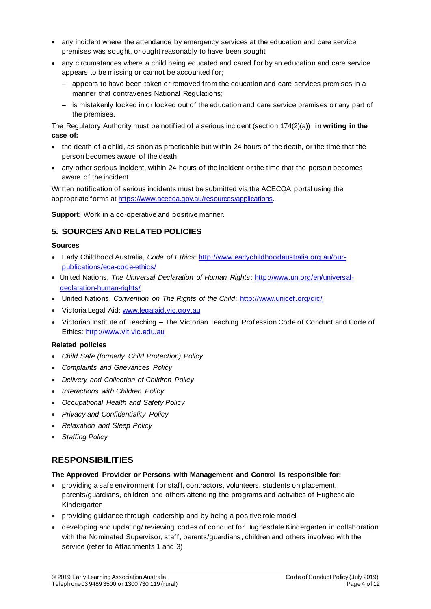- any incident where the attendance by emergency services at the education and care service premises was sought, or ought reasonably to have been sought
- any circumstances where a child being educated and cared for by an education and care service appears to be missing or cannot be accounted for;
	- appears to have been taken or removed from the education and care services premises in a manner that contravenes National Regulations;
	- is mistakenly locked in or locked out of the education and care service premises o r any part of the premises.

The Regulatory Authority must be notified of a serious incident (section 174(2)(a)) **in writing in the case of:**

- the death of a child, as soon as practicable but within 24 hours of the death, or the time that the person becomes aware of the death
- any other serious incident, within 24 hours of the incident or the time that the perso n becomes aware of the incident

Written notification of serious incidents must be submitted via the ACECQA portal using the appropriate forms at https://www.acecqa.gov.au/resources/applications.

**Support:** Work in a co-operative and positive manner.

### **5. SOURCES AND RELATED POLICIES**

#### **Sources**

- Early Childhood Australia, *Code of Ethics*: http://www.earlychildhoodaustralia.org.au/ourpublications/eca-code-ethics/
- United Nations, *The Universal Declaration of Human Rights*: http://www.un.org/en/universaldeclaration-human-rights/
- United Nations, *Convention on The Rights of the Child*: http://www.unicef.org/crc/
- Victoria Legal Aid: www.legalaid.vic.gov.au
- Victorian Institute of Teaching The Victorian Teaching Profession Code of Conduct and Code of Ethics: http://www.vit.vic.edu.au

#### **Related policies**

- *Child Safe (formerly Child Protection) Policy*
- *Complaints and Grievances Policy*
- *Delivery and Collection of Children Policy*
- *Interactions with Children Policy*
- *Occupational Health and Safety Policy*
- *Privacy and Confidentiality Policy*
- *Relaxation and Sleep Policy*
- *Staffing Policy*

### **RESPONSIBILITIES**

#### **The Approved Provider or Persons with Management and Control is responsible for:**

- providing a safe environment for staff, contractors, volunteers, students on placement, parents/guardians, children and others attending the programs and activities of Hughesdale Kindergarten
- providing guidance through leadership and by being a positive role model
- developing and updating/ reviewing codes of conduct for Hughesdale Kindergarten in collaboration with the Nominated Supervisor, staff, parents/guardians, children and others involved with the service (refer to Attachments 1 and 3)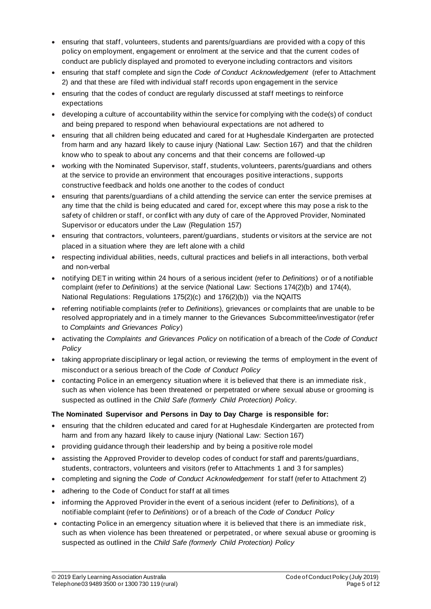- ensuring that staff, volunteers, students and parents/guardians are provided with a copy of this policy on employment, engagement or enrolment at the service and that the current codes of conduct are publicly displayed and promoted to everyone including contractors and visitors
- ensuring that staff complete and sign the *Code of Conduct Acknowledgement* (refer to Attachment 2) and that these are filed with individual staff records upon engagement in the service
- ensuring that the codes of conduct are regularly discussed at staff meetings to reinforce expectations
- developing a culture of accountability within the service for complying with the code(s) of conduct and being prepared to respond when behavioural expectations are not adhered to
- ensuring that all children being educated and cared for at Hughesdale Kindergarten are protected from harm and any hazard likely to cause injury (National Law: Section 167) and that the children know who to speak to about any concerns and that their concerns are followed-up
- working with the Nominated Supervisor, staff, students, volunteers, parents/guardians and others at the service to provide an environment that encourages positive interactions , supports constructive feedback and holds one another to the codes of conduct
- ensuring that parents/guardians of a child attending the service can enter the service premises at any time that the child is being educated and cared for, except where this may pose a risk to the safety of children or staff, or conflict with any duty of care of the Approved Provider, Nominated Supervisor or educators under the Law (Regulation 157)
- ensuring that contractors, volunteers, parent/guardians, students or visitors at the service are not placed in a situation where they are left alone with a child
- respecting individual abilities, needs, cultural practices and beliefs in all interactions, both verbal and non-verbal
- notifying DET in writing within 24 hours of a serious incident (refer to *Definitions*) or of a notifiable complaint (refer to *Definitions*) at the service (National Law: Sections 174(2)(b) and 174(4), National Regulations: Regulations 175(2)(c) and 176(2)(b)) via the NQAITS
- referring notifiable complaints (refer to *Definitions*), grievances or complaints that are unable to be resolved appropriately and in a timely manner to the Grievances Subcommittee/investigator (refer to *Complaints and Grievances Policy*)
- activating the *Complaints and Grievances Policy* on notification of a breach of the *Code of Conduct Policy*
- taking appropriate disciplinary or legal action, or reviewing the terms of employment in the event of misconduct or a serious breach of the *Code of Conduct Policy*
- contacting Police in an emergency situation where it is believed that there is an immediate risk, such as when violence has been threatened or perpetrated or where sexual abuse or grooming is suspected as outlined in the *Child Safe (formerly Child Protection) Policy*.

### **The Nominated Supervisor and Persons in Day to Day Charge is responsible for:**

- ensuring that the children educated and cared for at Hughesdale Kindergarten are protected from harm and from any hazard likely to cause injury (National Law: Section 167)
- providing guidance through their leadership and by being a positive role model
- assisting the Approved Provider to develop codes of conduct for staff and parents/guardians, students, contractors, volunteers and visitors (refer to Attachments 1 and 3 for samples)
- completing and signing the *Code of Conduct Acknowledgement* for staff (refer to Attachment 2)
- adhering to the Code of Conduct for staff at all times
- informing the Approved Provider in the event of a serious incident (refer to *Definitions*), of a notifiable complaint (refer to *Definitions*) or of a breach of the *Code of Conduct Policy*
- contacting Police in an emergency situation where it is believed that there is an immediate risk, such as when violence has been threatened or perpetrated, or where sexual abuse or grooming is suspected as outlined in the *Child Safe (formerly Child Protection) Policy*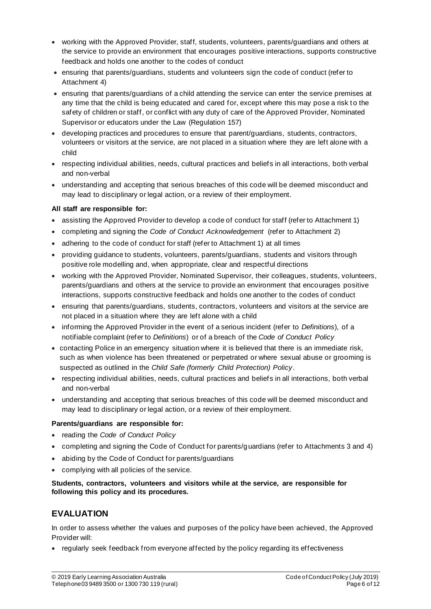- working with the Approved Provider, staff, students, volunteers, parents/guardians and others at the service to provide an environment that encourages positive interactions, supports constructive feedback and holds one another to the codes of conduct
- ensuring that parents/guardians, students and volunteers sign the code of conduct (refer to Attachment 4)
- ensuring that parents/guardians of a child attending the service can enter the service premises at any time that the child is being educated and cared for, except where this may pose a risk to the safety of children or staff, or conflict with any duty of care of the Approved Provider, Nominated Supervisor or educators under the Law (Regulation 157)
- developing practices and procedures to ensure that parent/guardians, students, contractors, volunteers or visitors at the service, are not placed in a situation where they are left alone with a child
- respecting individual abilities, needs, cultural practices and beliefs in all interactions, both verbal and non-verbal
- understanding and accepting that serious breaches of this code will be deemed misconduct and may lead to disciplinary or legal action, or a review of their employment.

#### **All staff are responsible for:**

- assisting the Approved Provider to develop a code of conduct for staff (refer to Attachment 1)
- completing and signing the *Code of Conduct Acknowledgement* (refer to Attachment 2)
- adhering to the code of conduct for staff (refer to Attachment 1) at all times
- providing guidance to students, volunteers, parents/guardians, students and visitors through positive role modelling and, when appropriate, clear and respectful directions
- working with the Approved Provider, Nominated Supervisor, their colleagues, students, volunteers, parents/guardians and others at the service to provide an environment that encourages positive interactions, supports constructive feedback and holds one another to the codes of conduct
- ensuring that parents/guardians, students, contractors, volunteers and visitors at the service are not placed in a situation where they are left alone with a child
- informing the Approved Provider in the event of a serious incident (refer to *Definitions*), of a notifiable complaint (refer to *Definitions*) or of a breach of the *Code of Conduct Policy*
- contacting Police in an emergency situation where it is believed that there is an immediate risk, such as when violence has been threatened or perpetrated or where sexual abuse or grooming is suspected as outlined in the *Child Safe (formerly Child Protection) Policy*.
- respecting individual abilities, needs, cultural practices and beliefs in all interactions, both verbal and non-verbal
- understanding and accepting that serious breaches of this code will be deemed misconduct and may lead to disciplinary or legal action, or a review of their employment.

#### **Parents/guardians are responsible for:**

- reading the *Code of Conduct Policy*
- completing and signing the Code of Conduct for parents/guardians (refer to Attachments 3 and 4)
- abiding by the Code of Conduct for parents/guardians
- complying with all policies of the service.

#### **Students, contractors, volunteers and visitors while at the service, are responsible for following this policy and its procedures.**

## **EVALUATION**

In order to assess whether the values and purposes of the policy have been achieved, the Approved Provider will:

• regularly seek feedback from everyone affected by the policy regarding its effectiveness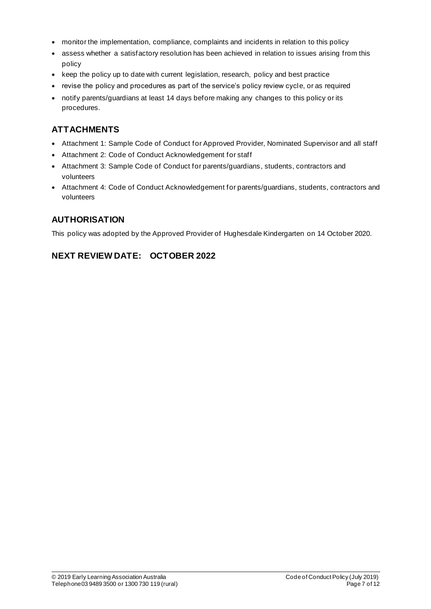- monitor the implementation, compliance, complaints and incidents in relation to this policy
- assess whether a satisfactory resolution has been achieved in relation to issues arising from this policy
- keep the policy up to date with current legislation, research, policy and best practice
- revise the policy and procedures as part of the service's policy review cycle, or as required
- notify parents/guardians at least 14 days before making any changes to this policy or its procedures.

## **ATTACHMENTS**

- Attachment 1: Sample Code of Conduct for Approved Provider, Nominated Supervisor and all staff
- Attachment 2: Code of Conduct Acknowledgement for staff
- Attachment 3: Sample Code of Conduct for parents/guardians, students, contractors and volunteers
- Attachment 4: Code of Conduct Acknowledgement for parents/guardians, students, contractors and volunteers

## **AUTHORISATION**

This policy was adopted by the Approved Provider of Hughesdale Kindergarten on 14 October 2020.

## **NEXT REVIEW DATE: OCTOBER 2022**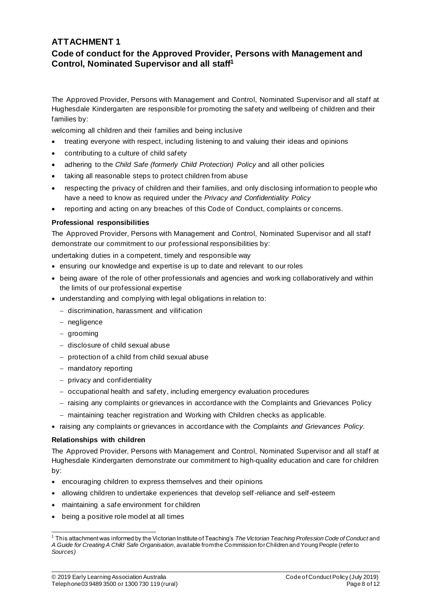## **ATTACHMENT 1 Code of conduct for the Approved Provider, Persons with Management and Control, Nominated Supervisor and all staff<sup>1</sup>**

The Approved Provider, Persons with Management and Control, Nominated Supervisor and all staff at Hughesdale Kindergarten are responsible for promoting the safety and wellbeing of children and their families by:

welcoming all children and their families and being inclusive

- treating everyone with respect, including listening to and valuing their ideas and opinions
- contributing to a culture of child safety
- adhering to the *Child Safe (formerly Child Protection) Policy* and all other policies
- taking all reasonable steps to protect children from abuse
- respecting the privacy of children and their families, and only disclosing information to people who have a need to know as required under the *Privacy and Confidentiality Policy*
- reporting and acting on any breaches of this Code of Conduct, complaints or concerns.

#### **Professional responsibilities**

The Approved Provider, Persons with Management and Control, Nominated Supervisor and all staff demonstrate our commitment to our professional responsibilities by:

undertaking duties in a competent, timely and responsible way

- ensuring our knowledge and expertise is up to date and relevant to our roles
- being aware of the role of other professionals and agencies and working collaboratively and within the limits of our professional expertise
- understanding and complying with legal obligations in relation to:
	- − discrimination, harassment and vilification
	- − negligence
	- − grooming
	- − disclosure of child sexual abuse
	- − protection of a child from child sexual abuse
	- − mandatory reporting
	- − privacy and confidentiality
	- − occupational health and safety, including emergency evaluation procedures
	- − raising any complaints or grievances in accordance with the Complaints and Grievances Policy
	- − maintaining teacher registration and Working with Children checks as applicable.
- raising any complaints or grievances in accordance with the *Complaints and Grievances Policy.*

#### **Relationships with children**

The Approved Provider, Persons with Management and Control, Nominated Supervisor and all staff at Hughesdale Kindergarten demonstrate our commitment to high-quality education and care for children by:

- encouraging children to express themselves and their opinions
- allowing children to undertake experiences that develop self -reliance and self-esteem
- maintaining a safe environment for children
- being a positive role model at all times

<sup>1</sup> This attachment was informed by the Victorian Institute of Teaching's *The Victorian Teaching Profession Code of Conduct* and *A Guide for Creating A Child Safe Organisation*, available from the Commission for Children and Young People (refer to *Sources)*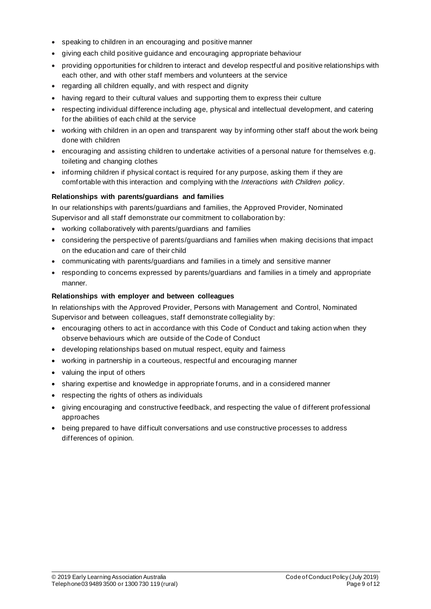- speaking to children in an encouraging and positive manner
- giving each child positive guidance and encouraging appropriate behaviour
- providing opportunities for children to interact and develop respectful and positive relationships with each other, and with other staff members and volunteers at the service
- regarding all children equally, and with respect and dignity
- having regard to their cultural values and supporting them to express their culture
- respecting individual difference including age, physical and intellectual development, and catering for the abilities of each child at the service
- working with children in an open and transparent way by informing other staff about the work being done with children
- encouraging and assisting children to undertake activities of a personal nature for themselves e.g. toileting and changing clothes
- informing children if physical contact is required for any purpose, asking them if they are comfortable with this interaction and complying with the *Interactions with Children policy*.

#### **Relationships with parents/guardians and families**

In our relationships with parents/guardians and families, the Approved Provider, Nominated Supervisor and all staff demonstrate our commitment to collaboration by:

- working collaboratively with parents/guardians and families
- considering the perspective of parents/guardians and families when making decisions that impact on the education and care of their child
- communicating with parents/guardians and families in a timely and sensitive manner
- responding to concerns expressed by parents/guardians and families in a timely and appropriate manner.

#### **Relationships with employer and between colleagues**

In relationships with the Approved Provider, Persons with Management and Control, Nominated Supervisor and between colleagues, staff demonstrate collegiality by:

- encouraging others to act in accordance with this Code of Conduct and taking action when they observe behaviours which are outside of the Code of Conduct
- developing relationships based on mutual respect, equity and fairness
- working in partnership in a courteous, respectful and encouraging manner
- valuing the input of others
- sharing expertise and knowledge in appropriate forums, and in a considered manner
- respecting the rights of others as individuals
- giving encouraging and constructive feedback, and respecting the value of different professional approaches
- being prepared to have difficult conversations and use constructive processes to address differences of opinion.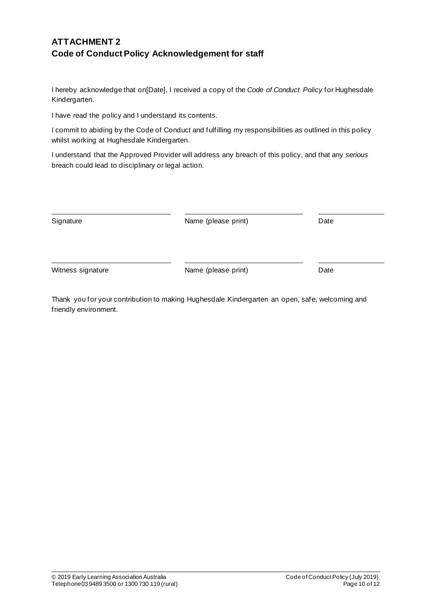## **ATTACHMENT 2 Code of Conduct Policy Acknowledgement for staff**

I hereby acknowledge that on[Date], I received a copy of the *Code of Conduct Policy* for Hughesdale Kindergarten.

I have read the policy and I understand its contents.

I commit to abiding by the Code of Conduct and fulfilling my responsibilities as outlined in this policy whilst working at Hughesdale Kindergarten.

I understand that the Approved Provider will address any breach of this policy, and that any *serious* breach could lead to disciplinary or legal action.

| Signature         | Name (please print) | Date |
|-------------------|---------------------|------|
| Witness signature | Name (please print) | Date |

Thank you for your contribution to making Hughesdale Kindergarten an open, safe, welcoming and friendly environment.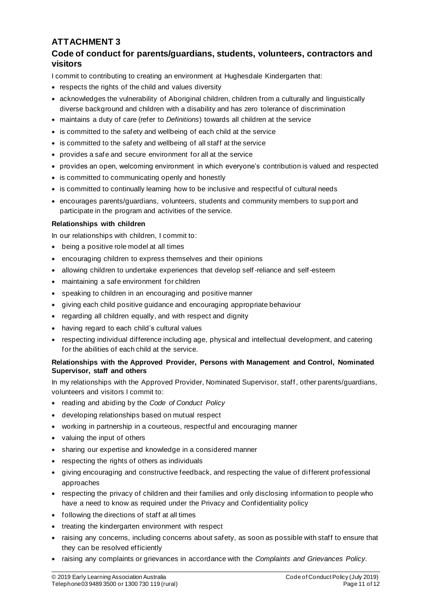## **ATTACHMENT 3**

## **Code of conduct for parents/guardians, students, volunteers, contractors and visitors**

I commit to contributing to creating an environment at Hughesdale Kindergarten that:

- respects the rights of the child and values diversity
- acknowledges the vulnerability of Aboriginal children, children from a culturally and linguistically diverse background and children with a disability and has zero tolerance of discrimination
- maintains a duty of care (refer to *Definitions*) towards all children at the service
- is committed to the safety and wellbeing of each child at the service
- is committed to the safety and wellbeing of all staff at the service
- provides a safe and secure environment for all at the service
- provides an open, welcoming environment in which everyone's contribution is valued and respected
- is committed to communicating openly and honestly
- is committed to continually learning how to be inclusive and respectful of cultural needs
- encourages parents/guardians, volunteers, students and community members to sup port and participate in the program and activities of the service.

#### **Relationships with children**

In our relationships with children, I commit to:

- being a positive role model at all times
- encouraging children to express themselves and their opinions
- allowing children to undertake experiences that develop self -reliance and self-esteem
- maintaining a safe environment for children
- speaking to children in an encouraging and positive manner
- giving each child positive guidance and encouraging appropriate behaviour
- regarding all children equally, and with respect and dignity
- having regard to each child's cultural values
- respecting individual difference including age, physical and intellectual development, and catering for the abilities of each child at the service.

#### **Relationships with the Approved Provider, Persons with Management and Control, Nominated Supervisor, staff and others**

In my relationships with the Approved Provider, Nominated Supervisor, staff , other parents/guardians, volunteers and visitors I commit to:

- reading and abiding by the *Code of Conduct Policy*
- developing relationships based on mutual respect
- working in partnership in a courteous, respectful and encouraging manner
- valuing the input of others
- sharing our expertise and knowledge in a considered manner
- respecting the rights of others as individuals
- giving encouraging and constructive feedback, and respecting the value of different professional approaches
- respecting the privacy of children and their families and only disclosing information to people who have a need to know as required under the Privacy and Confidentiality policy
- following the directions of staff at all times
- treating the kindergarten environment with respect
- raising any concerns, including concerns about safety, as soon as possible with staff to ensure that they can be resolved efficiently
- raising any complaints or grievances in accordance with the *Complaints and Grievances Policy.*